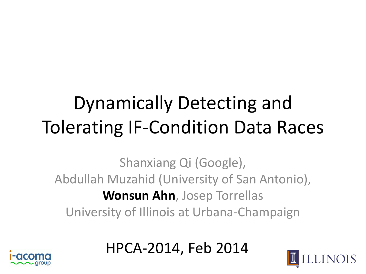#### Dynamically Detecting and Tolerating IF-Condition Data Races

Shanxiang Qi (Google), Abdullah Muzahid (University of San Antonio), **Wonsun Ahn**, Josep Torrellas University of Illinois at Urbana-Champaign

HPCA-2014, Feb 2014



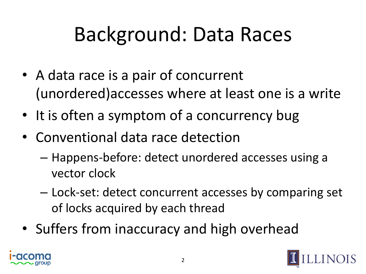# Background: Data Races

- A data race is a pair of concurrent (unordered)accesses where at least one is a write
- It is often a symptom of a concurrency bug
- Conventional data race detection
	- Happens-before: detect unordered accesses using a vector clock
	- Lock-set: detect concurrent accesses by comparing set of locks acquired by each thread
- Suffers from inaccuracy and high overhead



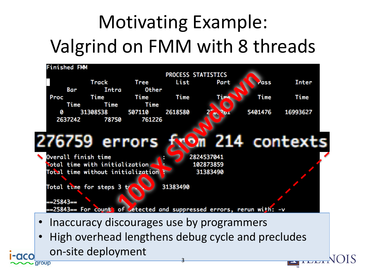### Motivating Example: Valgrind on FMM with 8 threads



aroup

**EXIT LEADER**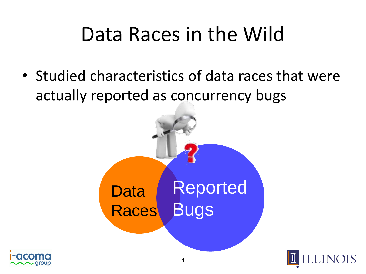### Data Races in the Wild

• Studied characteristics of data races that were actually reported as concurrency bugs





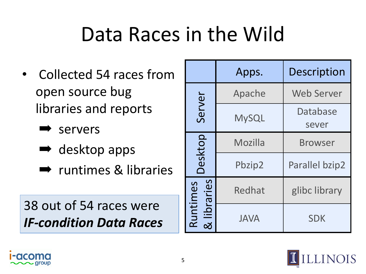### Data Races in the Wild

- Collected 54 races from open source bug libraries and reports
	- ➡ servers
	- $\rightarrow$  desktop apps
	- **■** runtimes & libraries

#### 38 out of 54 races were *IF-condition Data Races*

|                     | Apps.        | <b>Description</b>    |
|---------------------|--------------|-----------------------|
| Server              | Apache       | <b>Web Server</b>     |
|                     | <b>MySQL</b> | Database<br>sever     |
| Desktop             | Mozilla      | <b>Browser</b>        |
|                     | Pbzip2       | <b>Parallel bzip2</b> |
| braries<br>Runtimes | Redhat       | glibc library         |
|                     | <b>JAVA</b>  | <b>SDK</b>            |



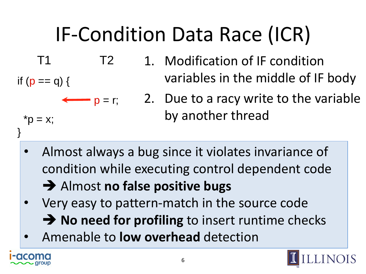# IF-Condition Data Race (ICR)

- 1. Modification of IF condition variables in the middle of IF body  $p = r$ ; 2. Due to a racy write to the variable by another thread T1 T2 if  $(p == q)$  {  $^{\ast}$ p = x; }
	- Almost always a bug since it violates invariance of condition while executing control dependent code
		- Almost **no false positive bugs**
	- Very easy to pattern-match in the source code **→ No need for profiling** to insert runtime checks
	- Amenable to **low overhead** detection



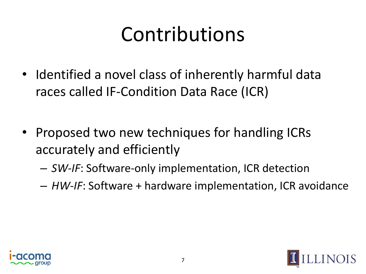# Contributions

- Identified a novel class of inherently harmful data races called IF-Condition Data Race (ICR)
- Proposed two new techniques for handling ICRs accurately and efficiently
	- *SW-IF*: Software-only implementation, ICR detection
	- *HW-IF*: Software + hardware implementation, ICR avoidance



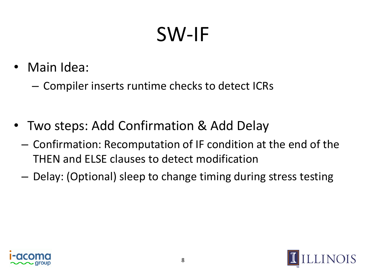### SW-IF

- Main Idea:
	- Compiler inserts runtime checks to detect ICRs
- Two steps: Add Confirmation & Add Delay
	- Confirmation: Recomputation of IF condition at the end of the THEN and ELSE clauses to detect modification
	- Delay: (Optional) sleep to change timing during stress testing



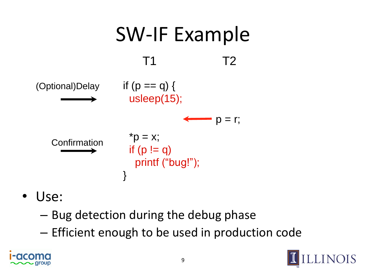

- Use:
	- Bug detection during the debug phase
	- Efficient enough to be used in production code



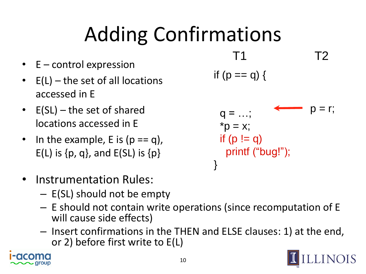# Adding Confirmations

- E control expression
- $E(L)$  the set of all locations accessed in E
- E(SL) the set of shared locations accessed in E
- In the example, E is  $(p == q)$ ,  $E(L)$  is  $\{p, q\}$ , and  $E(SL)$  is  $\{p\}$
- Instrumentation Rules:
	- E(SL) should not be empty
	- E should not contain write operations (since recomputation of E will cause side effects)
	- Insert confirmations in the THEN and ELSE clauses: 1) at the end, or 2) before first write to E(L)





 $p = r$ ;

T1 T2

if  $(p == q)$  {

 $q = ...;$ 

 $*p = x;$ 

if  $(p := q)$ 

printf ("bug!");

}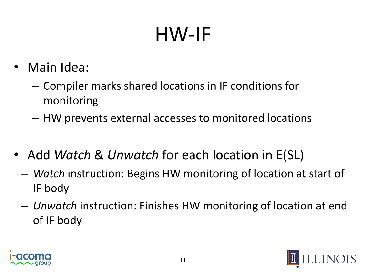# HW-IF

- Main Idea:
	- Compiler marks shared locations in IF conditions for monitoring
	- HW prevents external accesses to monitored locations
- Add *Watch* & *Unwatch* for each location in E(SL)
	- *Watch* instruction: Begins HW monitoring of location at start of IF body
	- *Unwatch* instruction: Finishes HW monitoring of location at end of IF body



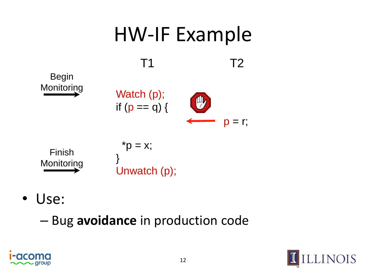

- Use:
	- Bug **avoidance** in production code



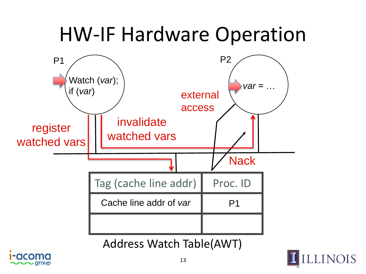#### HW-IF Hardware Operation



Address Watch Table(AWT)



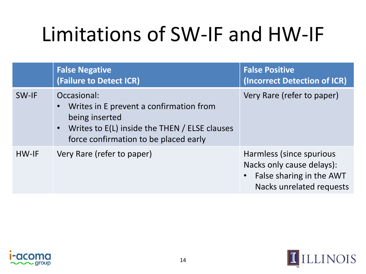# Limitations of SW-IF and HW-IF

|       | <b>False Negative</b><br>(Failure to Detect ICR)                                                                                                                                | <b>False Positive</b><br>(Incorrect Detection of ICR)                                                           |
|-------|---------------------------------------------------------------------------------------------------------------------------------------------------------------------------------|-----------------------------------------------------------------------------------------------------------------|
| SW-IF | Occasional:<br>Writes in E prevent a confirmation from<br>being inserted<br>Writes to E(L) inside the THEN / ELSE clauses<br>$\bullet$<br>force confirmation to be placed early | Very Rare (refer to paper)                                                                                      |
| HW-IF | Very Rare (refer to paper)                                                                                                                                                      | Harmless (since spurious<br>Nacks only cause delays):<br>• False sharing in the AWT<br>Nacks unrelated requests |

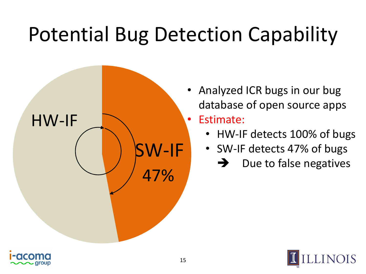# Potential Bug Detection Capability



- Analyzed ICR bugs in our bug database of open source apps • Estimate:
	- HW-IF detects 100% of bugs
	- SW-IF detects 47% of bugs
		- $\rightarrow$  Due to false negatives

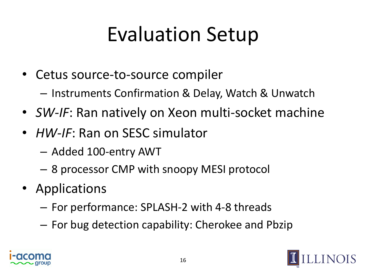## Evaluation Setup

- Cetus source-to-source compiler
	- Instruments Confirmation & Delay, Watch & Unwatch
- *SW-IF*: Ran natively on Xeon multi-socket machine
- *HW-IF*: Ran on SESC simulator
	- Added 100-entry AWT
	- 8 processor CMP with snoopy MESI protocol
- Applications
	- For performance: SPLASH-2 with 4-8 threads
	- For bug detection capability: Cherokee and Pbzip



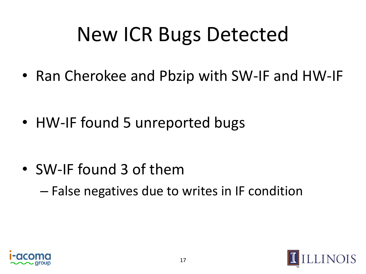# New ICR Bugs Detected

• Ran Cherokee and Pbzip with SW-IF and HW-IF

• HW-IF found 5 unreported bugs

• SW-IF found 3 of them – False negatives due to writes in IF condition



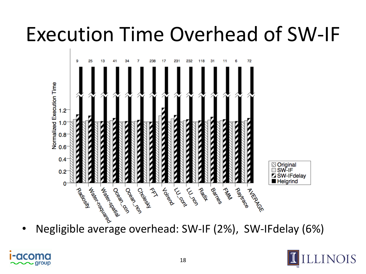### Execution Time Overhead of SW-IF





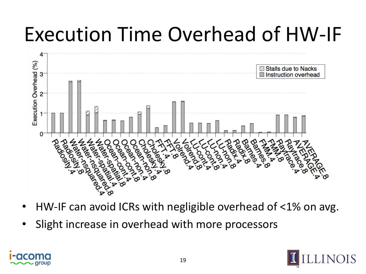### Execution Time Overhead of HW-IF



- HW-IF can avoid ICRs with negligible overhead of <1% on avg.
- Slight increase in overhead with more processors



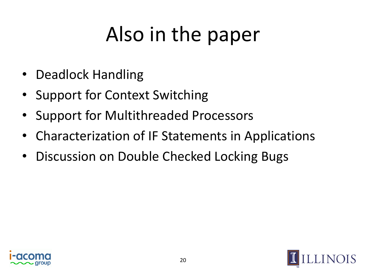# Also in the paper

- Deadlock Handling
- Support for Context Switching
- Support for Multithreaded Processors
- Characterization of IF Statements in Applications
- Discussion on Double Checked Locking Bugs



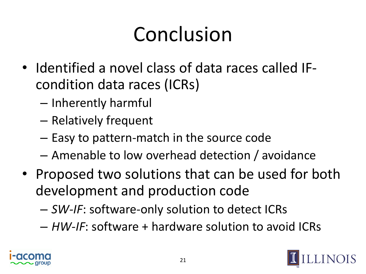# Conclusion

- Identified a novel class of data races called IFcondition data races (ICRs)
	- Inherently harmful
	- Relatively frequent
	- Easy to pattern-match in the source code
	- Amenable to low overhead detection / avoidance
- Proposed two solutions that can be used for both development and production code
	- *SW-IF*: software-only solution to detect ICRs
	- *HW-IF*: software + hardware solution to avoid ICRs